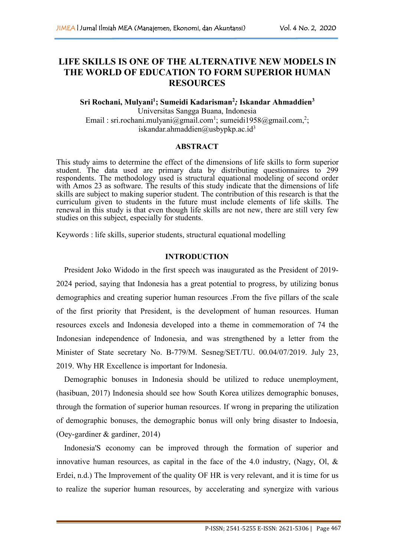# **LIFE SKILLS IS ONE OF THE ALTERNATIVE NEW MODELS IN THE WORLD OF EDUCATION TO FORM SUPERIOR HUMAN RESOURCES**

#### **Sri Rochani, Mulyani<sup>1</sup>; Sumeidi Kadarisman <sup>2</sup>***;* **Iskandar Ahmaddien 3**

Universitas Sangga Buana, Indonesia Email : sri.rochani.mulyani@gmail.com<sup>1</sup>; [sumeidi1958@gmail.com,](mailto:sumeidi1958@gmail.com,2;)<sup>2</sup>; ; [iskandar.ahmaddien@usbypkp.ac.id](mailto:iskandar.ahmaddien@usbypkp.ac.id)<sup>3</sup> 3

### **ABSTRACT**

This study aims to determine the effect of the dimensions of life skills to form superior student. The data used are primary data by distributing questionnaires to 299 respondents. The methodology used is structural equational modeling of second order with Amos 23 as software. The results of this study indicate that the dimensions of life skills are subject to making superior student. The contribution of this research is that the curriculum given to students in the future must include elements of life skills. The renewal in this study is that even though life skills are not new, there are still very few studies on this subject, especially for students.

Keywords : life skills, superior students, structural equational modelling

## **INTRODUCTION**

President Joko Widodo in the first speech was inaugurated as the President of 2019- 2024 period, saying that Indonesia has a great potential to progress, by utilizing bonus demographics and creating superior human resources .From the five pillars of the scale of the first priority that President, is the development of human resources. Human resources excels and Indonesia developed into a theme in commemoration of 74 the Indonesian independence of Indonesia, and was strengthened by a letter from the Minister of State secretary No. B-779/M. Sesneg/SET/TU. 00.04/07/2019. July 23, 2019. Why HR Excellence is important for Indonesia.

Demographic bonuses in Indonesia should be utilized to reduce unemployment, (hasibuan, 2017) Indonesia should see how South Korea utilizes demographic bonuses, through the formation of superior human resources. If wrong in preparing the utilization of demographic bonuses, the demographic bonus will only bring disaster to Indoesia, (Oey-gardiner & gardiner, 2014)

Indonesia'S economy can be improved through the formation of superior and innovative human resources, as capital in the face of the 4.0 industry, (Nagy, Ol,  $\&$ Erdei, n.d.) The Improvement of the quality OF HR is very relevant, and it is time for us to realize the superior human resources, by accelerating and synergize with various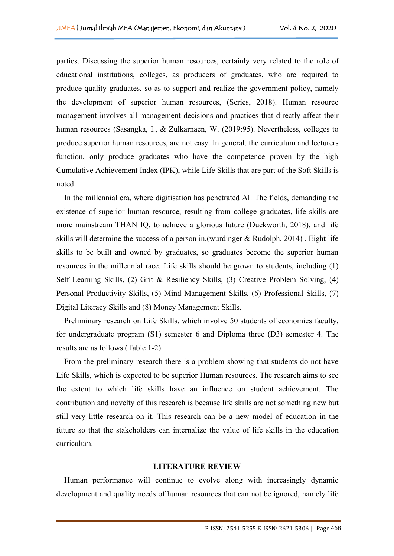parties. Discussing the superior human resources, certainly very related to the role of educational institutions, colleges, as producers of graduates, who are required to produce quality graduates, so as to support and realize the government policy, namely the development of superior human resources, (Series, 2018). Human resource management involves all management decisions and practices that directly affect their human resources (Sasangka, I., & Zulkarnaen, W. (2019:95). Nevertheless, colleges to produce superior human resources, are not easy. In general, the curriculum and lecturers function, only produce graduates who have the competence proven by the high Cumulative Achievement Index (IPK), while Life Skills that are part of the Soft Skills is noted.

In the millennial era, where digitisation has penetrated All The fields, demanding the existence of superior human resource, resulting from college graduates, life skills are more mainstream THAN IQ, to achieve a glorious future (Duckworth, 2018), and life skills will determine the success of a person in, (wurdinger  $& Rudolph, 2014)$ . Eight life skills to be built and owned by graduates, so graduates become the superior human resources in the millennial race. Life skills should be grown to students, including (1) Self Learning Skills, (2) Grit & Resiliency Skills, (3) Creative Problem Solving, (4) Personal Productivity Skills, (5) Mind Management Skills, (6) Professional Skills, (7) Digital Literacy Skills and (8) Money Management Skills.

Preliminary research on Life Skills, which involve 50 students of economics faculty, for undergraduate program (S1) semester 6 and Diploma three (D3) semester 4. The results are as follows.(Table 1-2)

From the preliminary research there is a problem showing that students do not have Life Skills, which is expected to be superior Human resources. The research aims to see the extent to which life skills have an influence on student achievement. The contribution and novelty of this research is because life skills are not something new but still very little research on it. This research can be a new model of education in the future so that the stakeholders can internalize the value of life skills in the education curriculum.

### **LITERATURE REVIEW**

Human performance will continue to evolve along with increasingly dynamic development and quality needs of human resources that can not be ignored, namely life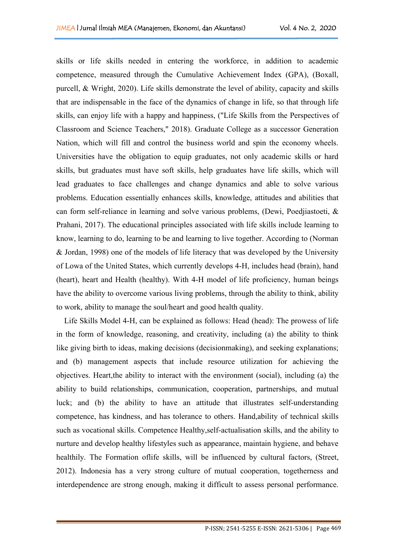skills or life skills needed in entering the workforce, in addition to academic competence, measured through the Cumulative Achievement Index (GPA), (Boxall, purcell, & Wright, 2020). Life skills demonstrate the level of ability, capacity and skills that are indispensable in the face of the dynamics of change in life, so that through life skills, can enjoy life with a happy and happiness, ("Life Skills from the Perspectives of Classroom and Science Teachers," 2018). Graduate College as a successor Generation Nation, which will fill and control the business world and spin the economy wheels. Universities have the obligation to equip graduates, not only academic skills or hard skills, but graduates must have soft skills, help graduates have life skills, which will lead graduates to face challenges and change dynamics and able to solve various problems. Education essentially enhances skills, knowledge, attitudes and abilities that can form self-reliance in learning and solve various problems, (Dewi, Poedjiastoeti, & Prahani, 2017). The educational principles associated with life skills include learning to know, learning to do, learning to be and learning to live together. According to (Norman  $&$  Jordan, 1998) one of the models of life literacy that was developed by the University of Lowa of the United States, which currently develops 4-H, includes head (brain), hand (heart), heart and Health (healthy). With 4-H model of life proficiency, human beings have the ability to overcome various living problems, through the ability to think, ability to work, ability to manage the soul/heart and good health quality.

Life Skills Model 4-H, can be explained as follows: Head (head): The prowess of life in the form of knowledge, reasoning, and creativity, including (a) the ability to think like giving birth to ideas, making decisions (decision making), and seeking explanations; and (b) management aspects that include resource utilization for achieving the objectives. Heart,the ability to interact with the environment (social), including (a) the ability to build relationships, communication, cooperation, partnerships, and mutual luck; and (b) the ability to have an attitude that illustrates self-understanding competence, has kindness, and has tolerance to others. Hand,ability of technical skills such as vocational skills. Competence Healthy,self-actualisation skills, and the ability to nurture and develop healthy lifestyles such as appearance, maintain hygiene, and behave healthily. The Formation oflife skills, will be influenced by cultural factors, (Street, 2012). Indonesia has a very strong culture of mutual cooperation, togetherness and interdependence are strong enough, making it difficult to assess personal performance.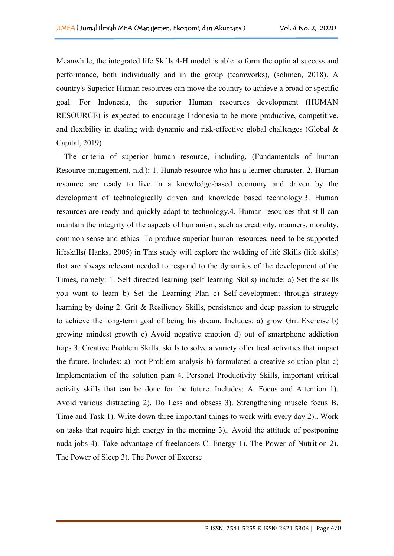Meanwhile, the integrated life Skills 4-H model is able to form the optimal success and performance, both individually and in the group (teamworks), (sohmen, 2018). A country's Superior Human resources can move the country to achieve a broad or specific goal. For Indonesia, the superior Human resources development (HUMAN RESOURCE) is expected to encourage Indonesia to be more productive, competitive, and flexibility in dealing with dynamic and risk-effective global challenges (Global  $\&$ Capital, 2019)

The criteria of superior human resource, including, (Fundamentals of human Resource management, n.d.): 1. Hunab resource who has a learner character. 2. Human resource are ready to live in a knowledge-based economy and driven by the development of technologically driven and knowlede based technology.3. Human resources are ready and quickly adapt to technology.4. Human resources that still can maintain the integrity of the aspects of humanism, such as creativity, manners, morality, common sense and ethics. To produce superior human resources, need to be supported lifeskills( Hanks, 2005) in This study will explore the welding of life Skills (life skills) that are always relevant needed to respond to the dynamics of the development of the Times, namely: 1. Self directed learning (self learning Skills) include: a) Set the skills you want to learn b) Set the Learning Plan c) Self-development through strategy learning by doing 2. Grit & Resiliency Skills, persistence and deep passion to struggle to achieve the long-term goal of being his dream. Includes: a) grow Grit Exercise b) growing mindest growth c) Avoid negative emotion d) out of smartphone addiction traps 3. Creative Problem Skills, skills to solve a variety of critical activities that impact the future. Includes: a) root Problem analysis b) formulated a creative solution plan c) Implementation of the solution plan 4. Personal Productivity Skills, important critical activity skills that can be done for the future. Includes: A. Focus and Attention 1). Avoid various distracting 2). Do Less and obsess 3). Strengthening muscle focus B. Time and Task 1). Write down three important things to work with every day 2).. Work on tasks that require high energy in the morning 3).. Avoid the attitude of postponing nuda jobs 4). Take advantage of freelancers C. Energy 1). The Power of Nutrition 2). The Power of Sleep 3). The Power of Excerse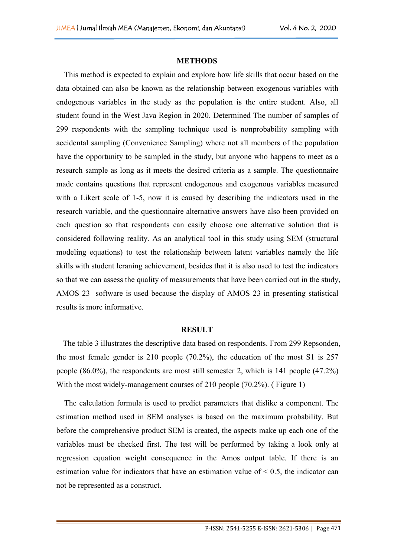### **METHODS**

This method is expected to explain and explore how life skills that occur based on the data obtained can also be known as the relationship between exogenous variables with endogenous variables in the study as the population is the entire student. Also, all student found in the West Java Region in 2020. Determined The number of samples of 299 respondents with the sampling technique used is nonprobability sampling with accidental sampling (Convenience Sampling) where not all members of the population have the opportunity to be sampled in the study, but anyone who happens to meet as a research sample as long as it meets the desired criteria as a sample. The questionnaire made contains questions that represent endogenous and exogenous variables measured with a Likert scale of 1-5, now it is caused by describing the indicators used in the research variable, and the questionnaire alternative answers have also been provided on each question so that respondents can easily choose one alternative solution that is considered following reality. As an analytical tool in this study using SEM (structural modeling equations) to test the relationship between latent variables namely the life skills with student leraning achievement, besides that it is also used to test the indicators so that we can assess the quality of measurements that have been carried out in the study, AMOS 23 software is used because the display of AMOS 23 in presenting statistical results is more informative.

#### **RESULT**

The table 3 illustrates the descriptive data based on respondents. From 299 Repsonden, the most female gender is 210 people (70.2%), the education of the most S1 is 257 people (86.0%), the respondents are most still semester 2, which is 141 people (47.2%) With the most widely-management courses of 210 people (70.2%). (Figure 1)

The calculation formula is used to predict parameters that dislike a component. The estimation method used in SEM analyses is based on the maximum probability. But before the comprehensive product SEM is created, the aspects make up each one of the variables must be checked first. The test will be performed by taking a look only at regression equation weight consequence in the Amos output table. If there is an estimation value for indicators that have an estimation value of  $\leq 0.5$ , the indicator can not be represented as a construct.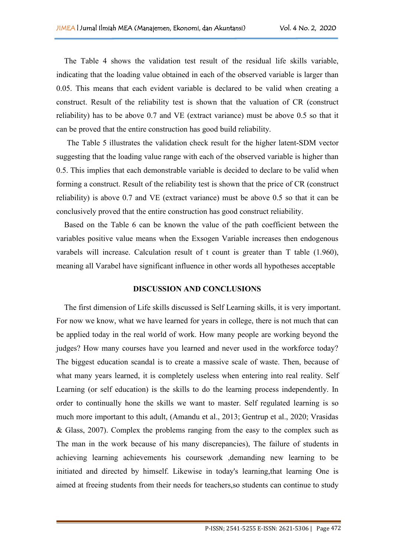The Table 4 shows the validation test result of the residual life skills variable, indicating that the loading value obtained in each of the observed variable is larger than 0.05. This means that each evident variable is declared to be valid when creating a construct. Result of the reliability test is shown that the valuation of CR (construct reliability) has to be above 0.7 and VE (extract variance) must be above 0.5 so that it can be proved that the entire construction has good build reliability.

The Table 5 illustrates the validation check result for the higher latent-SDM vector suggesting that the loading value range with each of the observed variable is higher than 0.5. This implies that each demonstrable variable is decided to declare to be valid when forming a construct. Result of the reliability test is shown that the price of CR (construct reliability) is above 0.7 and VE (extract variance) must be above 0.5 so that it can be conclusively proved that the entire construction has good construct reliability.

Based on the Table 6 can be known the value of the path coefficient between the variables positive value means when the Exsogen Variable increases then endogenous varabels will increase. Calculation result of t count is greater than T table  $(1.960)$ , meaning all Varabel have significant influence in other words all hypotheses acceptable

### **DISCUSSION AND CONCLUSIONS**

The first dimension of Life skills discussed is Self Learning skills, it is very important. For now we know, what we have learned for years in college, there is not much that can be applied today in the real world of work. How many people are working beyond the judges? How many courses have you learned and never used in the workforce today? The biggest education scandal is to create a massive scale of waste. Then, because of what many years learned, it is completely useless when entering into real reality. Self Learning (or self education) is the skills to do the learning process independently. In order to continually hone the skills we want to master. Self regulated learning is so much more important to this adult, (Amandu et al., 2013; Gentrup et al., 2020; Vrasidas & Glass, 2007). Complex the problems ranging from the easy to the complex such as The man in the work because of his many discrepancies), The failure of students in achieving learning achievements his coursework ,demanding new learning to be initiated and directed by himself. Likewise in today's learning,that learning One is aimed at freeing students from their needs for teachers,so students can continue to study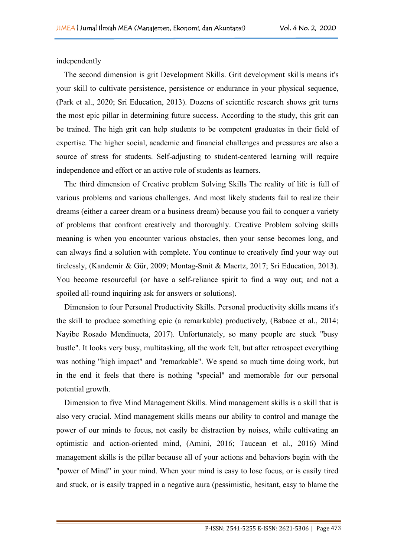independently

The second dimension is grit Development Skills. Grit development skills means it's your skill to cultivate persistence, persistence or endurance in your physical sequence, (Park et al., 2020; Sri Education, 2013). Dozens of scientific research shows grit turns the most epic pillar in determining future success. According to the study, this grit can be trained. The high grit can help students to be competent graduates in their field of expertise. The higher social, academic and financial challenges and pressures are also a source of stress for students. Self-adjusting to student-centered learning will require independence and effort or an active role of students as learners.

The third dimension of Creative problem Solving Skills The reality of life is full of various problems and various challenges. And most likely students fail to realize their dreams (either a career dream or a business dream) because you fail to conquer a variety of problems that confront creatively and thoroughly. Creative Problem solving skills meaning is when you encounter various obstacles, then your sense becomes long, and can always find a solution with complete. You continue to creatively find your way out tirelessly, (Kandemir & Gür, 2009; Montag-Smit & Maertz, 2017; Sri Education, 2013). You become resourceful (or have a self-reliance spirit to find a way out; and not a spoiled all-round inquiring ask for answers or solutions).

Dimension to four Personal Productivity Skills. Personal productivity skills means it's the skill to produce something epic (a remarkable) productively, (Babaee et al., 2014; Nayibe Rosado Mendinueta, 2017). Unfortunately, so many people are stuck "busy bustle". It looks very busy, multitasking, all the work felt, but after retrospect everything was nothing "high impact" and "remarkable". We spend so much time doing work, but in the end it feels that there is nothing "special" and memorable for our personal potential growth.

Dimension to five Mind Management Skills. Mind management skills is a skill that is also very crucial. Mind management skills means our ability to controland manage the power of our minds to focus, not easily be distraction by noises, while cultivating an optimistic and action-oriented mind, (Amini, 2016; Taucean et al., 2016) Mind management skills is the pillar because all of your actions and behaviors begin with the "power of Mind" in your mind. When your mind is easy to lose focus, or is easily tired and stuck, or is easily trapped in a negative aura (pessimistic, hesitant, easy to blame the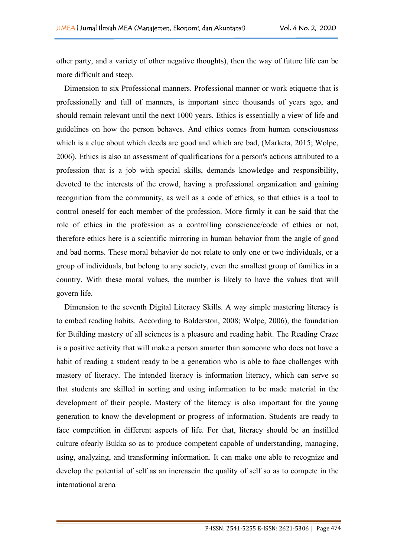other party, and a variety of other negative thoughts), then the way of future life can be more difficult and steep.

Dimension to six Professional manners. Professional manner or work etiquette that is professionally and full of manners, is important since thousands of years ago, and should remain relevant until the next 1000 years. Ethics is essentially a view of life and guidelines on how the person behaves. And ethics comes from human consciousness which is a clue about which deeds are good and which are bad, (Marketa, 2015; Wolpe, 2006). Ethics is also an assessment of qualifications for a person's actions attributed to a profession that is a job with special skills, demands knowledge and responsibility, devoted to the interests of the crowd, having a professional organization and gaining recognition from the community, as well as a code of ethics, so that ethics is a tool to control oneself for each member of the profession. More firmly it can be said that the role of ethics in the profession as a controlling conscience/code of ethics or not, therefore ethics here is a scientific mirroring in human behavior from the angle of good and bad norms. These moral behavior do not relate to only one or two individuals, or a group of individuals, but belong to any society, even the smallest group of families in a country. With these moral values, the number is likely to have the values that will govern life.

Dimension to the seventh Digital Literacy Skills. A way simple mastering literacy is to embed reading habits. According to Bolderston, 2008; Wolpe, 2006), the foundation for Building mastery of all sciences is a pleasure and reading habit. The Reading Craze is a positive activity that will make a person smarter than someone who doesnot have a habit of reading a student ready to be a generation who is able to face challenges with mastery of literacy. The intended literacy is information literacy, which can serve so that students are skilled in sorting and using information to be made material in the development of their people. Mastery of the literacy is also important for the young generation to know the development or progress of information. Students are ready to face competition in different aspects of life. For that, literacy should be an instilled culture ofearly Bukka so as to produce competent capable of understanding, managing, using, analyzing, and transforming information. It can make one able to recognize and develop the potential of self as an increasein the quality of self so as to compete in the international arena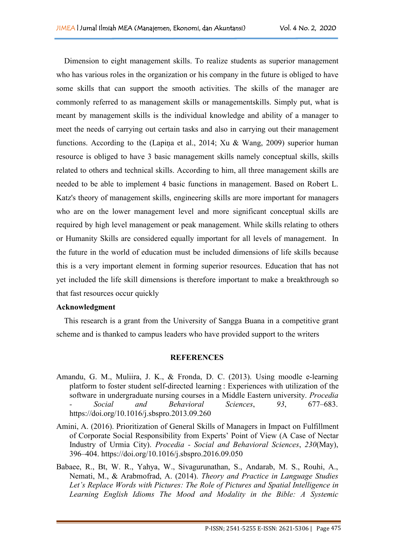Dimension to eight management skills. To realize students as superior management who has various roles in the organization or his company in the future is obliged to have some skills that can support the smooth activities. The skills of the manager are commonly referred to as management skills or managementskills. Simply put, what is meant by management skills is the individual knowledge and ability of a manager to meet the needs of carrying out certain tasks and also in carrying out their management functions. According to the (Lapiņa et al., 2014; Xu & Wang, 2009) superior human resource is obliged to have 3 basic management skills namely conceptual skills, skills related to others and technical skills. According to him, all three management skills are needed to be able to implement 4 basic functions in management. Based on Robert L. Katz's theory of management skills, engineering skills are more important for managers who are on the lower management level and more significant conceptual skills are required by high level management or peak management. While skills relating to others or Humanity Skills are considered equally important for all levels of management. In the future in the world of education must be included dimensions of life skills because this is a very important element in forming superior resources. Education that has not yet included the life skill dimensions is therefore important to make a breakthrough so that fast resources occur quickly

### **Acknowledgment**

This research is a grant from the University of Sangga Buana in a competitive grant scheme and is thanked to campus leaders who have provided support to the writers

### **REFERENCES**

- Amandu, G. M., Muliira, J. K., & Fronda, D. C. (2013). Using moodle e-learning platform to foster student self-directed learning : Experiences with utilization of the software in undergraduate nursing courses in a Middle Eastern university. *Procedia - Social and Behavioral Sciences*, *93*, 677–683. https://doi.org/10.1016/j.sbspro.2013.09.260
- Amini, A. (2016). Prioritization of General Skills of Managers in Impact on Fulfillment of Corporate Social Responsibility from Experts' Point of View (A Case of Nectar Industry of Urmia City). *Procedia - Social and Behavioral Sciences*, *230*(May), 396–404. https://doi.org/10.1016/j.sbspro.2016.09.050
- Babaee, R., Bt, W. R., Yahya, W., Sivagurunathan, S., Andarab, M. S., Rouhi, A., Nemati, M., & Arabmofrad, A. (2014). *Theory and Practice in Language Studies Let's Replace Words with Pictures: The Role of Pictures and Spatial Intelligence in Learning English Idioms The Mood and Modality in the Bible: A Systemic*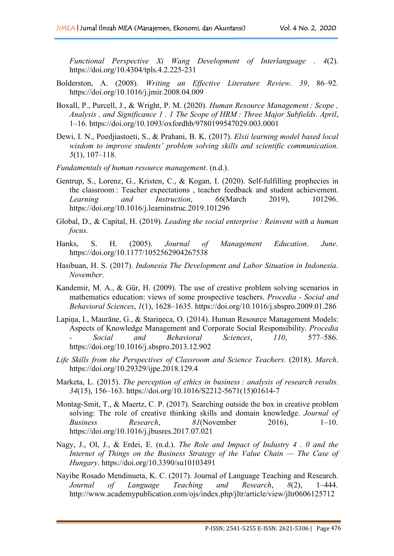*Functional Perspective Xi Wang Development of Interlanguage* . *4*(2). https://doi.org/10.4304/tpls.4.2.225-231

- Bolderston, A. (2008). *Writing an Effective Literature Review*. 39, 86–92. https://doi.org/10.1016/j.jmir.2008.04.009
- Boxall, P., Purcell, J., & Wright, P. M. (2020). *Human Resource Management : Scope , Analysis , and Significance 1 . 1 The Scope of HRM : Three Major Subfields*. *April*, 1–16. https://doi.org/10.1093/oxfordhb/9780199547029.003.0001
- Dewi, I. N., Poedjiastoeti, S., & Prahani, B. K. (2017). *Elsii learning model based local wisdom to improve students' problem solving skills and scientific communication*. *5*(1), 107–118.
- *Fundamentals of human resource management*. (n.d.).
- Gentrup, S., Lorenz, G., Kristen, C., & Kogan, I. (2020). Self-fulfilling prophecies in the classroom : Teacher expectations , teacher feedback and student achievement. *Learning and Instruction*, *66*(March 2019), 101296. https://doi.org/10.1016/j.learninstruc.2019.101296
- Global, D., & Capital, H. (2019). *Leading the socialenterprise : Reinvent with a human focus*.
- Hanks, S. H. (2005). *Journal of Management Education*. *June*. https://doi.org/10.1177/1052562904267538
- Hasibuan, H. S. (2017). *Indonesia The Development and Labor Situation in Indonesia*. *November*.
- Kandemir, M. A., & Gür, H. (2009). The use of creative problem solving scenarios in mathematics education: views of some prospective teachers. *Procedia - Social and Behavioral Sciences*, *1*(1), 1628–1635. https://doi.org/10.1016/j.sbspro.2009.01.286
- Lapiņa, I., Maurāne, G., & Stariņeca, O. (2014). Human Resource Management Models: Aspects of Knowledge Management and Corporate Social Responsibility. *Procedia - Social and Behavioral Sciences*, *110*, 577–586. https://doi.org/10.1016/j.sbspro.2013.12.902
- *Life Skills from the Perspectives of Classroom and Science Teachers*. (2018). *March*. https://doi.org/10.29329/ijpe.2018.129.4
- Marketa, L. (2015). *The perception of ethics in business : analysis of research results*. *34*(15), 156–163. https://doi.org/10.1016/S2212-5671(15)01614-7
- Montag-Smit, T., & Maertz, C. P. (2017). Searching outside the box in creative problem solving: The role of creative thinking skills and domain knowledge. *Journal of Business Research*, *81*(November 2016), 1–10. https://doi.org/10.1016/j.jbusres.2017.07.021
- Nagy, J., Ol, J., & Erdei, E. (n.d.). *The Role and Impact of Industry 4 . 0 and the Internet of Things on the Business Strategy of the Value Chain — The Case of Hungary*. https://doi.org/10.3390/su10103491
- Nayibe Rosado Mendinueta, K. C. (2017). Journal of Language Teaching and Research. *Journal of Language Teaching and Research*, *8*(2), 1–444. http://www.academypublication.com/ojs/index.php/jltr/article/view/jltr0606125712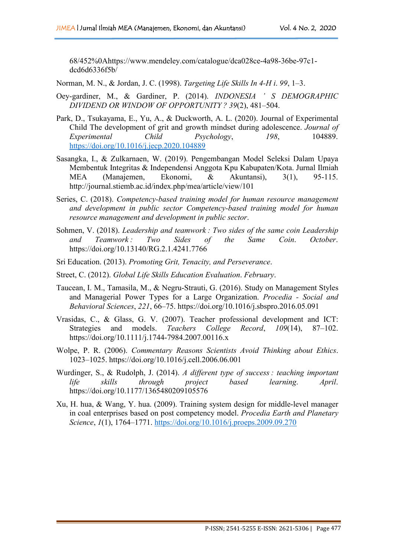68/452%0Ahttps://www.mendeley.com/catalogue/dca028ce-4a98-36be-97c1 dcd6d6336f5b/

Norman, M. N., & Jordan, J. C. (1998). *Targeting Life Skills In 4-H i*. *99*, 1–3.

- Oey-gardiner, M., & Gardiner, P. (2014). *INDONESIA ' S DEMOGRAPHIC DIVIDEND OR WINDOW OF OPPORTUNITY ? 39*(2), 481–504.
- Park, D., Tsukayama, E., Yu, A., & Duckworth, A. L. (2020). Journal of Experimental Child The development of grit and growth mindset during adolescence. *Journal of Experimental Child Psychology*, *198*, 104889. <https://doi.org/10.1016/j.jecp.2020.104889>
- Sasangka, I., & Zulkarnaen, W. (2019). Pengembangan Model Seleksi Dalam Upaya Membentuk Integritas & Independensi Anggota Kpu Kabupaten/Kota. Jurnal Ilmiah MEA (Manajemen, Ekonomi, & Akuntansi), 3(1), 95-115. http://journal.stiemb.ac.id/index.php/mea/article/view/101
- Series, C. (2018). *Competency-based training model for human resource management and development in public sector Competency-based training model for human resource management and development in public sector*.
- Sohmen, V. (2018). *Leadership and teamwork : Two sides of the same coin Leadership and Teamwork : Two Sides of the Same Coin*. *October*. https://doi.org/10.13140/RG.2.1.4241.7766
- Sri Education. (2013). *Promoting Grit, Tenacity, and Perseverance*.
- Street, C. (2012). *Global Life Skills Education Evaluation*. *February*.
- Taucean, I. M., Tamasila, M., & Negru-Strauti, G. (2016). Study on Management Styles and Managerial Power Types for a Large Organization. *Procedia - Social and Behavioral Sciences*, *221*, 66–75. https://doi.org/10.1016/j.sbspro.2016.05.091
- Vrasidas, C., & Glass, G. V. (2007). Teacher professional development and ICT: Strategies and models. *Teachers College Record*, *109*(14), 87–102. https://doi.org/10.1111/j.1744-7984.2007.00116.x
- Wolpe, P. R. (2006). *Commentary Reasons Scientists Avoid Thinking about Ethics*. 1023–1025. https://doi.org/10.1016/j.cell.2006.06.001
- Wurdinger, S., & Rudolph, J. (2014). *A dif erent type of success : teaching important life skills through project based learning*. *April*. https://doi.org/10.1177/1365480209105576
- Xu, H. hua, & Wang, Y. hua. (2009). Training system design for middle-level manager in coal enterprises based on post competency model. *Procedia Earth and Planetary Science*, *1*(1), 1764–1771. <https://doi.org/10.1016/j.proeps.2009.09.270>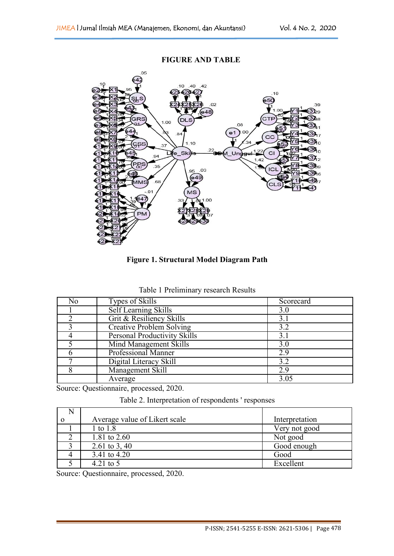

**FIGURE AND TABLE**

**Figure 1. Structural Model Diagram Path**

|  |  | Table 1 Preliminary research Results |  |
|--|--|--------------------------------------|--|
|--|--|--------------------------------------|--|

| No | Types of Skills                     | Scorecard |
|----|-------------------------------------|-----------|
|    | Self Learning Skills                | 3.0       |
|    | Grit & Resiliency Skills            | 3.1       |
|    | Creative Problem Solving            | 3.2       |
|    | <b>Personal Productivity Skills</b> |           |
|    | Mind Management Skills              | 3.0       |
|    | <b>Professional Manner</b>          | 2.9       |
|    | Digital Literacy Skill              | 3.2       |
|    | Management Skill                    | 2.9       |
|    | Average                             | 3.05      |

Source: Questionnaire, processed, 2020.

| Table 2. Interpretation of respondents 'responses |  |
|---------------------------------------------------|--|
|---------------------------------------------------|--|

| Average value of Likert scale | Interpretation |  |
|-------------------------------|----------------|--|
| 1 to 1.8                      | Very not good  |  |
| 1.81 to 2.60                  | Not good       |  |
| 2.61 to 3, 40                 | Good enough    |  |
| 3.41 to 4.20                  | Good           |  |
| 4.21 to $5$                   | Excellent      |  |

Source: Questionnaire, processed, 2020.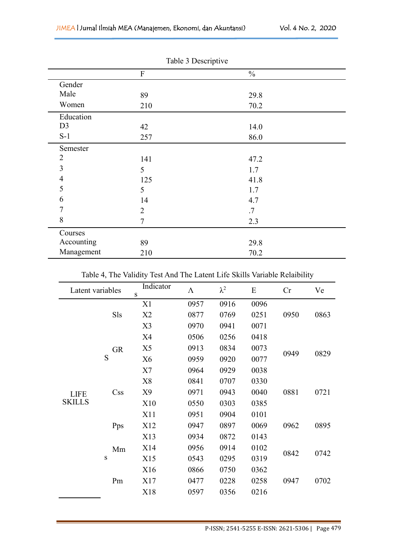|                | Table 3 Descriptive |               |  |
|----------------|---------------------|---------------|--|
|                | ${\bf F}$           | $\frac{0}{0}$ |  |
| Gender         |                     |               |  |
| Male           | 89                  | 29.8          |  |
| Women          | 210                 | 70.2          |  |
| Education      |                     |               |  |
| D <sub>3</sub> | 42                  | 14.0          |  |
| $S-1$          | 257                 | 86.0          |  |
| Semester       |                     |               |  |
| $\overline{2}$ | 141                 | 47.2          |  |
| 3              | 5                   | 1.7           |  |
| 4              | 125                 | 41.8          |  |
| 5              | 5                   | 1.7           |  |
| 6              | 14                  | 4.7           |  |
| 7              | $\overline{2}$      | .7            |  |
| 8              | $\overline{7}$      | 2.3           |  |
| Courses        |                     |               |  |
| Accounting     | 89                  | 29.8          |  |
| Management     | 210                 | 70.2          |  |

Table 3 Descriptive

Table 4, The Validity Test And The Latent Life Skills Variable Relaibility

|               | Latent variables        | Indicator<br>S | $\Lambda$ | $\lambda^2$ | ${\bf E}$ | Cr   | Ve   |
|---------------|-------------------------|----------------|-----------|-------------|-----------|------|------|
|               |                         | X1             | 0957      | 0916        | 0096      | 0950 | 0863 |
|               | Sls                     | X2             | 0877      | 0769        | 0251      |      |      |
|               |                         | X3             | 0970      | 0941        | 0071      |      |      |
|               |                         | X4             | 0506      | 0256        | 0418      |      |      |
|               | <b>GR</b>               | X5             | 0913      | 0834        | 0073      |      | 0829 |
|               | S                       | X <sub>6</sub> | 0959      | 0920        | 0077      | 0949 |      |
|               |                         | X7             | 0964      | 0929        | 0038      |      |      |
|               |                         | X <sup>8</sup> | 0841      | 0707        | 0330      | 0881 | 0721 |
| <b>LIFE</b>   | $\mathrm{C}\mathrm{ss}$ | X9             | 0971      | 0943        | 0040      |      |      |
| <b>SKILLS</b> |                         | X10            | 0550      | 0303        | 0385      |      |      |
|               |                         | X11            | 0951      | 0904        | 0101      |      |      |
|               | Pps                     | X12            | 0947      | 0897        | 0069      | 0962 | 0895 |
|               |                         | X13            | 0934      | 0872        | 0143      |      | 0742 |
|               | Mm                      | X14            | 0956      | 0914        | 0102      |      |      |
|               | ${\bf S}$               | X15            | 0543      | 0295        | 0319      | 0842 |      |
|               |                         | X16            | 0866      | 0750        | 0362      |      |      |
|               | Pm                      | X17            | 0477      | 0228        | 0258      | 0947 | 0702 |
|               |                         | X18            | 0597      | 0356        | 0216      |      |      |